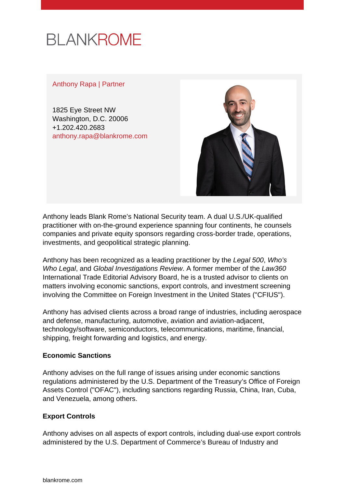# **BLANKROME**

#### Anthony Rapa | Partner

1825 Eye Street NW Washington, D.C. 20006 +1.202.420.2683 [anthony.rapa@blankrome.com](mailto:anthony.rapa@blankrome.com)



Anthony leads Blank Rome's National Security team. A dual U.S./UK-qualified practitioner with on-the-ground experience spanning four continents, he counsels companies and private equity sponsors regarding cross-border trade, operations, investments, and geopolitical strategic planning.

Anthony has been recognized as a leading practitioner by the Legal 500, Who's Who Legal, and Global Investigations Review. A former member of the Law360 International Trade Editorial Advisory Board, he is a trusted advisor to clients on matters involving economic sanctions, export controls, and investment screening involving the Committee on Foreign Investment in the United States ("CFIUS").

Anthony has advised clients across a broad range of industries, including aerospace and defense, manufacturing, automotive, aviation and aviation-adjacent, technology/software, semiconductors, telecommunications, maritime, financial, shipping, freight forwarding and logistics, and energy.

#### **Economic Sanctions**

Anthony advises on the full range of issues arising under economic sanctions regulations administered by the U.S. Department of the Treasury's Office of Foreign Assets Control ("OFAC"), including sanctions regarding Russia, China, Iran, Cuba, and Venezuela, among others.

#### **Export Controls**

Anthony advises on all aspects of export controls, including dual-use export controls administered by the U.S. Department of Commerce's Bureau of Industry and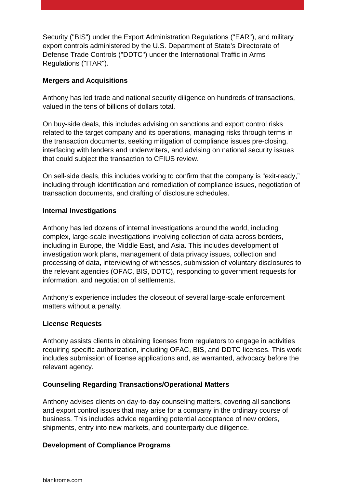Security ("BIS") under the Export Administration Regulations ("EAR"), and military export controls administered by the U.S. Department of State's Directorate of Defense Trade Controls ("DDTC") under the International Traffic in Arms Regulations ("ITAR").

#### **Mergers and Acquisitions**

Anthony has led trade and national security diligence on hundreds of transactions, valued in the tens of billions of dollars total.

On buy-side deals, this includes advising on sanctions and export control risks related to the target company and its operations, managing risks through terms in the transaction documents, seeking mitigation of compliance issues pre-closing, interfacing with lenders and underwriters, and advising on national security issues that could subject the transaction to CFIUS review.

On sell-side deals, this includes working to confirm that the company is "exit-ready," including through identification and remediation of compliance issues, negotiation of transaction documents, and drafting of disclosure schedules.

#### **Internal Investigations**

Anthony has led dozens of internal investigations around the world, including complex, large-scale investigations involving collection of data across borders, including in Europe, the Middle East, and Asia. This includes development of investigation work plans, management of data privacy issues, collection and processing of data, interviewing of witnesses, submission of voluntary disclosures to the relevant agencies (OFAC, BIS, DDTC), responding to government requests for information, and negotiation of settlements.

Anthony's experience includes the closeout of several large-scale enforcement matters without a penalty.

#### **License Requests**

Anthony assists clients in obtaining licenses from regulators to engage in activities requiring specific authorization, including OFAC, BIS, and DDTC licenses. This work includes submission of license applications and, as warranted, advocacy before the relevant agency.

#### **Counseling Regarding Transactions/Operational Matters**

Anthony advises clients on day-to-day counseling matters, covering all sanctions and export control issues that may arise for a company in the ordinary course of business. This includes advice regarding potential acceptance of new orders, shipments, entry into new markets, and counterparty due diligence.

#### **Development of Compliance Programs**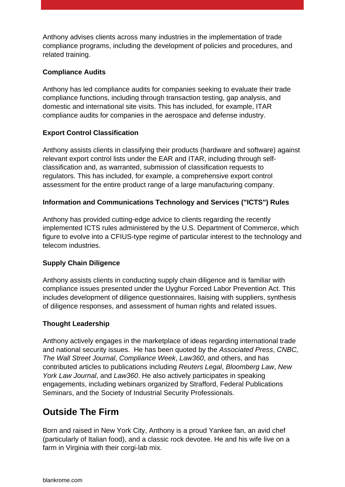Anthony advises clients across many industries in the implementation of trade compliance programs, including the development of policies and procedures, and related training.

#### **Compliance Audits**

Anthony has led compliance audits for companies seeking to evaluate their trade compliance functions, including through transaction testing, gap analysis, and domestic and international site visits. This has included, for example, ITAR compliance audits for companies in the aerospace and defense industry.

#### **Export Control Classification**

Anthony assists clients in classifying their products (hardware and software) against relevant export control lists under the EAR and ITAR, including through selfclassification and, as warranted, submission of classification requests to regulators. This has included, for example, a comprehensive export control assessment for the entire product range of a large manufacturing company.

#### **Information and Communications Technology and Services ("ICTS") Rules**

Anthony has provided cutting-edge advice to clients regarding the recently implemented ICTS rules administered by the U.S. Department of Commerce, which figure to evolve into a CFIUS-type regime of particular interest to the technology and telecom industries.

#### **Supply Chain Diligence**

Anthony assists clients in conducting supply chain diligence and is familiar with compliance issues presented under the Uyghur Forced Labor Prevention Act. This includes development of diligence questionnaires, liaising with suppliers, synthesis of diligence responses, and assessment of human rights and related issues.

#### **Thought Leadership**

Anthony actively engages in the marketplace of ideas regarding international trade and national security issues. He has been quoted by the Associated Press, CNBC, The Wall Street Journal, Compliance Week, Law360, and others, and has contributed articles to publications including Reuters Legal, Bloomberg Law, New York Law Journal, and Law360. He also actively participates in speaking engagements, including webinars organized by Strafford, Federal Publications Seminars, and the Society of Industrial Security Professionals.

## **Outside The Firm**

Born and raised in New York City, Anthony is a proud Yankee fan, an avid chef (particularly of Italian food), and a classic rock devotee. He and his wife live on a farm in Virginia with their corgi-lab mix.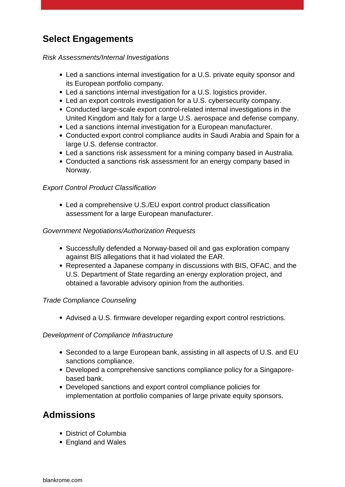## **Select Engagements**

Risk Assessments/Internal Investigations

- Led a sanctions internal investigation for a U.S. private equity sponsor and its European portfolio company.
- Led a sanctions internal investigation for a U.S. logistics provider.
- Led an export controls investigation for a U.S. cybersecurity company.
- Conducted large-scale export control-related internal investigations in the United Kingdom and Italy for a large U.S. aerospace and defense company.
- Led a sanctions internal investigation for a European manufacturer.
- Conducted export control compliance audits in Saudi Arabia and Spain for a large U.S. defense contractor.
- Led a sanctions risk assessment for a mining company based in Australia.
- Conducted a sanctions risk assessment for an energy company based in Norway.

#### Export Control Product Classification

Led a comprehensive U.S./EU export control product classification assessment for a large European manufacturer.

#### Government Negotiations/Authorization Requests

- Successfully defended a Norway-based oil and gas exploration company against BIS allegations that it had violated the EAR.
- Represented a Japanese company in discussions with BIS, OFAC, and the U.S. Department of State regarding an energy exploration project, and obtained a favorable advisory opinion from the authorities.

#### Trade Compliance Counseling

Advised a U.S. firmware developer regarding export control restrictions.

#### Development of Compliance Infrastructure

- Seconded to a large European bank, assisting in all aspects of U.S. and EU sanctions compliance.
- Developed a comprehensive sanctions compliance policy for a Singaporebased bank.
- Developed sanctions and export control compliance policies for implementation at portfolio companies of large private equity sponsors.

## **Admissions**

- District of Columbia
- England and Wales